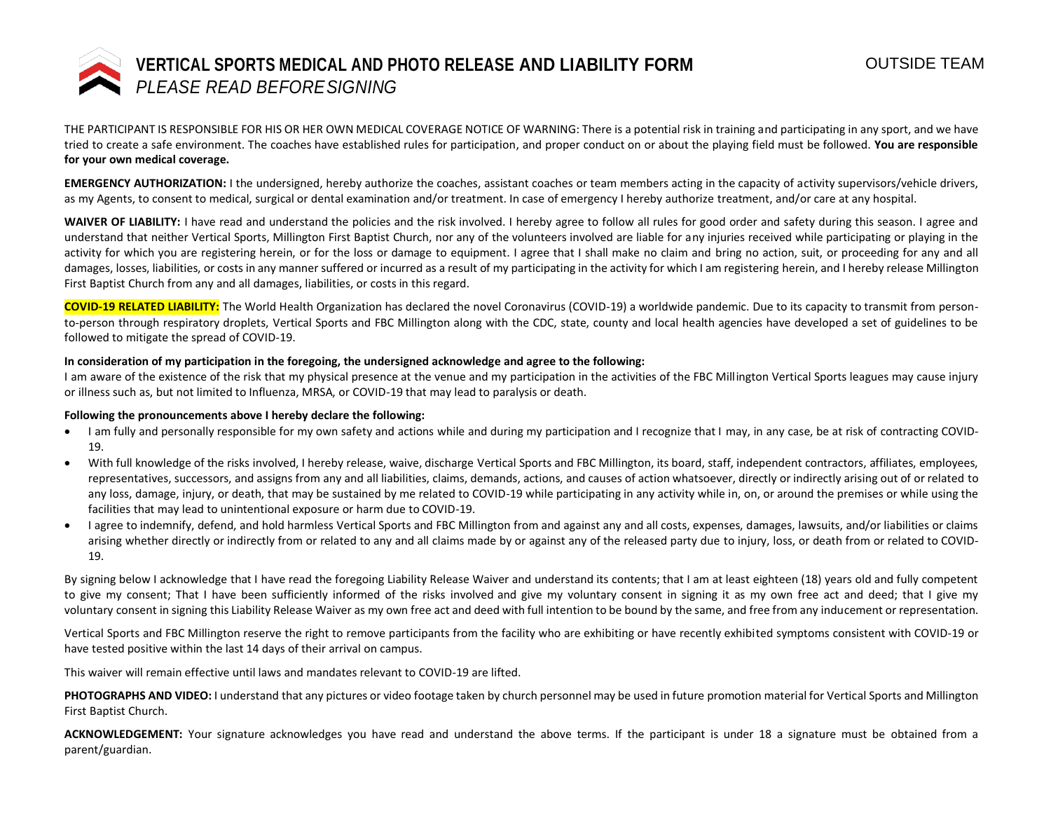

THE PARTICIPANT IS RESPONSIBLE FOR HIS OR HER OWN MEDICAL COVERAGE NOTICE OF WARNING: There is a potential risk in training and participating in any sport, and we have tried to create a safe environment. The coaches have established rules for participation, and proper conduct on or about the playing field must be followed. **You are responsible for your own medical coverage.** 

**EMERGENCY AUTHORIZATION:** I the undersigned, hereby authorize the coaches, assistant coaches or team members acting in the capacity of activity supervisors/vehicle drivers, as my Agents, to consent to medical, surgical or dental examination and/or treatment. In case of emergency I hereby authorize treatment, and/or care at any hospital.

WAIVER OF LIABILITY: I have read and understand the policies and the risk involved. I hereby agree to follow all rules for good order and safety during this season. I agree and understand that neither Vertical Sports, Millington First Baptist Church, nor any of the volunteers involved are liable for any injuries received while participating or playing in the activity for which you are registering herein, or for the loss or damage to equipment. I agree that I shall make no claim and bring no action, suit, or proceeding for any and all damages, losses, liabilities, or costs in any manner suffered or incurred as a result of my participating in the activity for which I am registering herein, and I hereby release Millington First Baptist Church from any and all damages, liabilities, or costs in this regard.

**COVID-19 RELATED LIABILITY:** The World Health Organization has declared the novel Coronavirus (COVID-19) a worldwide pandemic. Due to its capacity to transmit from personto-person through respiratory droplets, Vertical Sports and FBC Millington along with the CDC, state, county and local health agencies have developed a set of guidelines to be followed to mitigate the spread of COVID-19.

## **In consideration of my participation in the foregoing, the undersigned acknowledge and agree to the following:**

I am aware of the existence of the risk that my physical presence at the venue and my participation in the activities of the FBC Millington Vertical Sports leagues may cause injury or illness such as, but not limited to Influenza, MRSA, or COVID-19 that may lead to paralysis or death.

## **Following the pronouncements above I hereby declare the following:**

- I am fully and personally responsible for my own safety and actions while and during my participation and I recognize that I may, in any case, be at risk of contracting COVID-19.
- With full knowledge of the risks involved, I hereby release, waive, discharge Vertical Sports and FBC Millington, its board, staff, independent contractors, affiliates, employees, representatives, successors, and assigns from any and all liabilities, claims, demands, actions, and causes of action whatsoever, directly or indirectly arising out of or related to any loss, damage, injury, or death, that may be sustained by me related to COVID-19 while participating in any activity while in, on, or around the premises or while using the facilities that may lead to unintentional exposure or harm due to COVID-19.
- I agree to indemnify, defend, and hold harmless Vertical Sports and FBC Millington from and against any and all costs, expenses, damages, lawsuits, and/or liabilities or claims arising whether directly or indirectly from or related to any and all claims made by or against any of the released party due to injury, loss, or death from or related to COVID-19.

By signing below I acknowledge that I have read the foregoing Liability Release Waiver and understand its contents; that I am at least eighteen (18) years old and fully competent to give my consent; That I have been sufficiently informed of the risks involved and give my voluntary consent in signing it as my own free act and deed; that I give my voluntary consent in signing this Liability Release Waiver as my own free act and deed with full intention to be bound by the same, and free from any inducement or representation.

Vertical Sports and FBC Millington reserve the right to remove participants from the facility who are exhibiting or have recently exhibited symptoms consistent with COVID-19 or have tested positive within the last 14 days of their arrival on campus.

This waiver will remain effective until laws and mandates relevant to COVID-19 are lifted.

**PHOTOGRAPHS AND VIDEO:** I understand that any pictures or video footage taken by church personnel may be used in future promotion material for Vertical Sports and Millington First Baptist Church.

**ACKNOWLEDGEMENT:** Your signature acknowledges you have read and understand the above terms. If the participant is under 18 a signature must be obtained from a parent/guardian.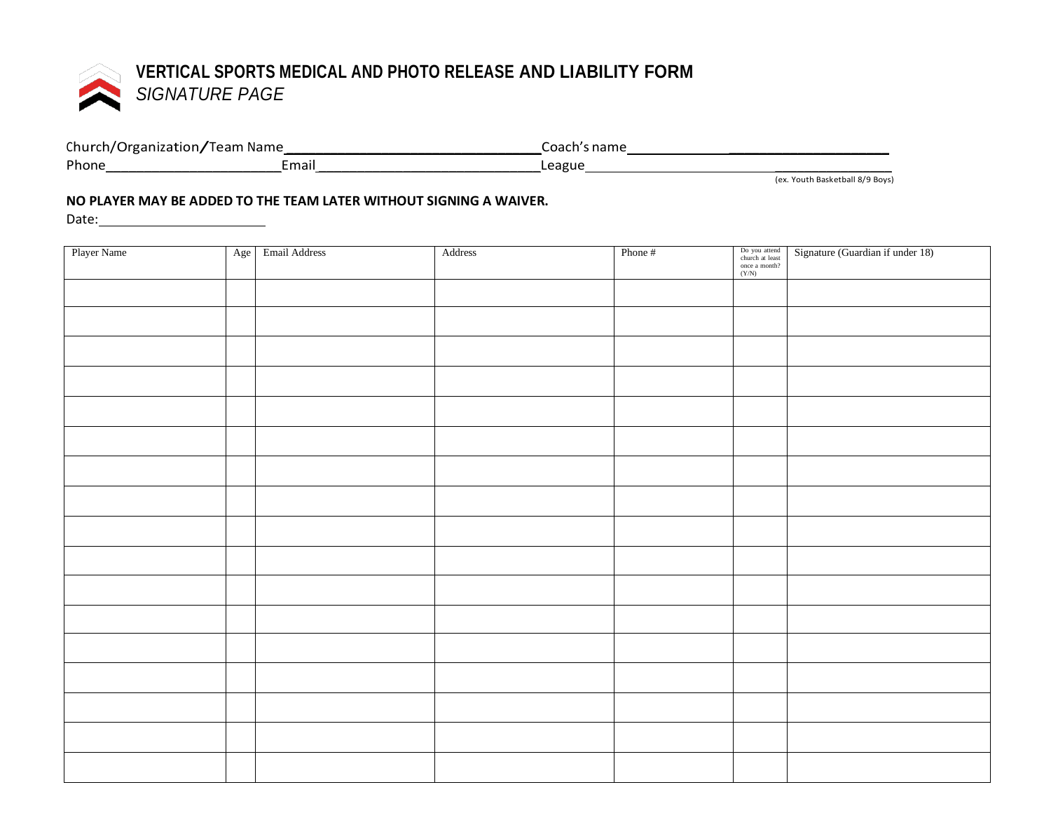

| Church/Organization/Team Name |      | Coach's name |
|-------------------------------|------|--------------|
| Phone                         | mai. | League       |

(ex. Youth Basketball 8/9 Boys)

## **NO PLAYER MAY BE ADDED TO THE TEAM LATER WITHOUT SIGNING A WAIVER.**

Date:

| Player Name | Age | Email Address | Address | Phone # | Do you attend<br>church at least<br>once a month?<br>(Y/N) | Signature (Guardian if under 18) |
|-------------|-----|---------------|---------|---------|------------------------------------------------------------|----------------------------------|
|             |     |               |         |         |                                                            |                                  |
|             |     |               |         |         |                                                            |                                  |
|             |     |               |         |         |                                                            |                                  |
|             |     |               |         |         |                                                            |                                  |
|             |     |               |         |         |                                                            |                                  |
|             |     |               |         |         |                                                            |                                  |
|             |     |               |         |         |                                                            |                                  |
|             |     |               |         |         |                                                            |                                  |
|             |     |               |         |         |                                                            |                                  |
|             |     |               |         |         |                                                            |                                  |
|             |     |               |         |         |                                                            |                                  |
|             |     |               |         |         |                                                            |                                  |
|             |     |               |         |         |                                                            |                                  |
|             |     |               |         |         |                                                            |                                  |
|             |     |               |         |         |                                                            |                                  |
|             |     |               |         |         |                                                            |                                  |
|             |     |               |         |         |                                                            |                                  |